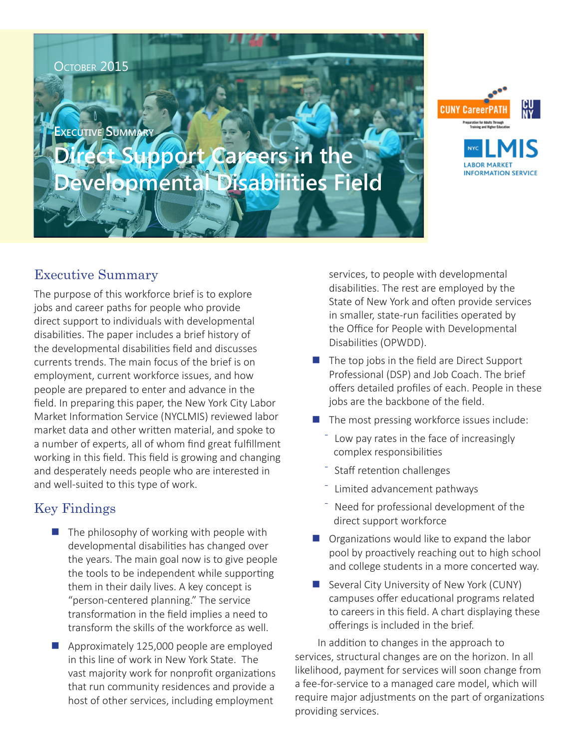OCTOBER 2015

**Executive Summary**

# **Direct Support Careers in the Developmental Disabilities Field**



### Executive Summary

The purpose of this workforce brief is to explore jobs and career paths for people who provide direct support to individuals with developmental disabilities. The paper includes a brief history of the developmental disabilities field and discusses currents trends. The main focus of the brief is on employment, current workforce issues, and how people are prepared to enter and advance in the field. In preparing this paper, the New York City Labor Market Information Service (NYCLMIS) reviewed labor market data and other written material, and spoke to a number of experts, all of whom find great fulfillment working in this field. This field is growing and changing and desperately needs people who are interested in and well-suited to this type of work.

## Key Findings

- $\blacksquare$  The philosophy of working with people with developmental disabilities has changed over the years. The main goal now is to give people the tools to be independent while supporting them in their daily lives. A key concept is "person-centered planning." The service transformation in the field implies a need to transform the skills of the workforce as well.
- Approximately 125,000 people are employed in this line of work in New York State. The vast majority work for nonprofit organizations that run community residences and provide a host of other services, including employment

services, to people with developmental disabilities. The rest are employed by the State of New York and often provide services in smaller, state-run facilities operated by the Office for People with Developmental Disabilities (OPWDD).

- $\blacksquare$  The top jobs in the field are Direct Support Professional (DSP) and Job Coach. The brief offers detailed profiles of each. People in these jobs are the backbone of the field.
- The most pressing workforce issues include:
	- Low pay rates in the face of increasingly complex responsibilities
	- Staff retention challenges
	- Limited advancement pathways
	- Need for professional development of the direct support workforce
- $\Box$  Organizations would like to expand the labor pool by proactively reaching out to high school and college students in a more concerted way.
- Several City University of New York (CUNY) campuses offer educational programs related to careers in this field. A chart displaying these offerings is included in the brief.

In addition to changes in the approach to services, structural changes are on the horizon. In all likelihood, payment for services will soon change from a fee-for-service to a managed care model, which will require major adjustments on the part of organizations providing services.